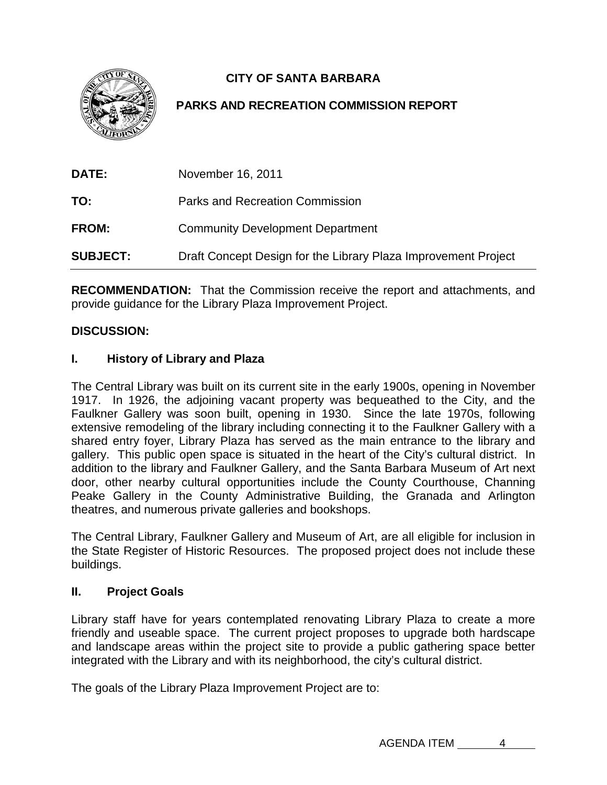

# **CITY OF SANTA BARBARA**

## **PARKS AND RECREATION COMMISSION REPORT**

| <b>DATE:</b>    | November 16, 2011                                              |
|-----------------|----------------------------------------------------------------|
| TO:             | Parks and Recreation Commission                                |
| <b>FROM:</b>    | <b>Community Development Department</b>                        |
| <b>SUBJECT:</b> | Draft Concept Design for the Library Plaza Improvement Project |

**RECOMMENDATION:** That the Commission receive the report and attachments, and provide guidance for the Library Plaza Improvement Project.

### **DISCUSSION:**

#### **I. History of Library and Plaza**

The Central Library was built on its current site in the early 1900s, opening in November 1917. In 1926, the adjoining vacant property was bequeathed to the City, and the Faulkner Gallery was soon built, opening in 1930. Since the late 1970s, following extensive remodeling of the library including connecting it to the Faulkner Gallery with a shared entry foyer, Library Plaza has served as the main entrance to the library and gallery. This public open space is situated in the heart of the City's cultural district. In addition to the library and Faulkner Gallery, and the Santa Barbara Museum of Art next door, other nearby cultural opportunities include the County Courthouse, Channing Peake Gallery in the County Administrative Building, the Granada and Arlington theatres, and numerous private galleries and bookshops.

The Central Library, Faulkner Gallery and Museum of Art, are all eligible for inclusion in the State Register of Historic Resources. The proposed project does not include these buildings.

#### **II. Project Goals**

Library staff have for years contemplated renovating Library Plaza to create a more friendly and useable space. The current project proposes to upgrade both hardscape and landscape areas within the project site to provide a public gathering space better integrated with the Library and with its neighborhood, the city's cultural district.

The goals of the Library Plaza Improvement Project are to: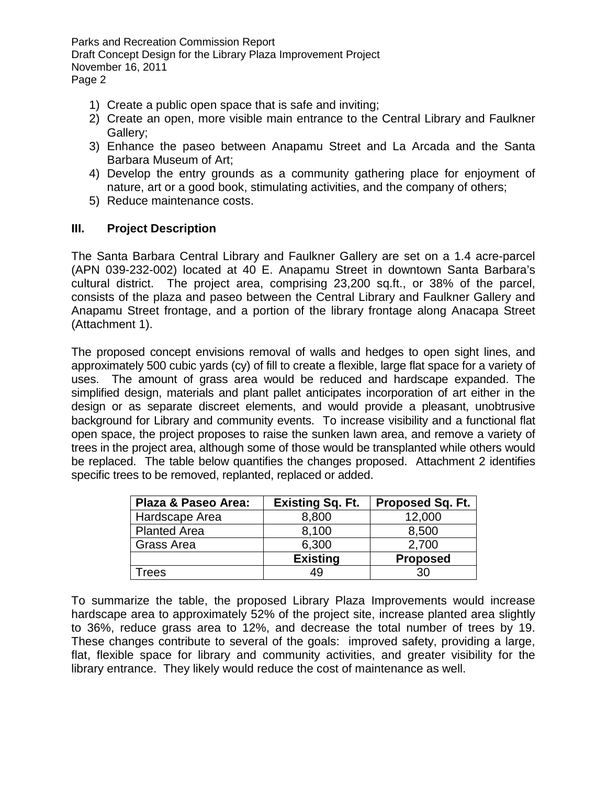- 1) Create a public open space that is safe and inviting;
- 2) Create an open, more visible main entrance to the Central Library and Faulkner Gallery;
- 3) Enhance the paseo between Anapamu Street and La Arcada and the Santa Barbara Museum of Art;
- 4) Develop the entry grounds as a community gathering place for enjoyment of nature, art or a good book, stimulating activities, and the company of others;
- 5) Reduce maintenance costs.

#### **III. Project Description**

The Santa Barbara Central Library and Faulkner Gallery are set on a 1.4 acre-parcel (APN 039-232-002) located at 40 E. Anapamu Street in downtown Santa Barbara's cultural district. The project area, comprising 23,200 sq.ft., or 38% of the parcel, consists of the plaza and paseo between the Central Library and Faulkner Gallery and Anapamu Street frontage, and a portion of the library frontage along Anacapa Street (Attachment 1).

The proposed concept envisions removal of walls and hedges to open sight lines, and approximately 500 cubic yards (cy) of fill to create a flexible, large flat space for a variety of uses. The amount of grass area would be reduced and hardscape expanded. The simplified design, materials and plant pallet anticipates incorporation of art either in the design or as separate discreet elements, and would provide a pleasant, unobtrusive background for Library and community events. To increase visibility and a functional flat open space, the project proposes to raise the sunken lawn area, and remove a variety of trees in the project area, although some of those would be transplanted while others would be replaced. The table below quantifies the changes proposed. Attachment 2 identifies specific trees to be removed, replanted, replaced or added.

| Plaza & Paseo Area: | <b>Existing Sq. Ft.</b> | Proposed Sq. Ft. |
|---------------------|-------------------------|------------------|
| Hardscape Area      | 8,800                   | 12,000           |
| <b>Planted Area</b> | 8,100                   | 8,500            |
| Grass Area          | 6,300                   | 2,700            |
|                     | <b>Existing</b>         | <b>Proposed</b>  |
| <b>Trees</b>        | 49                      | 30               |

To summarize the table, the proposed Library Plaza Improvements would increase hardscape area to approximately 52% of the project site, increase planted area slightly to 36%, reduce grass area to 12%, and decrease the total number of trees by 19. These changes contribute to several of the goals: improved safety, providing a large, flat, flexible space for library and community activities, and greater visibility for the library entrance. They likely would reduce the cost of maintenance as well.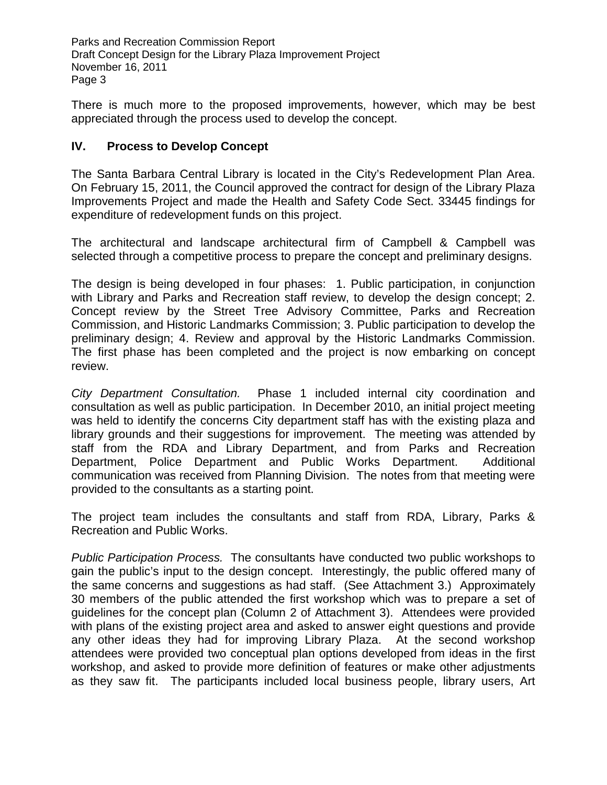There is much more to the proposed improvements, however, which may be best appreciated through the process used to develop the concept.

### **IV. Process to Develop Concept**

The Santa Barbara Central Library is located in the City's Redevelopment Plan Area. On February 15, 2011, the Council approved the contract for design of the Library Plaza Improvements Project and made the Health and Safety Code Sect. 33445 findings for expenditure of redevelopment funds on this project.

The architectural and landscape architectural firm of Campbell & Campbell was selected through a competitive process to prepare the concept and preliminary designs.

The design is being developed in four phases: 1. Public participation, in conjunction with Library and Parks and Recreation staff review, to develop the design concept; 2. Concept review by the Street Tree Advisory Committee, Parks and Recreation Commission, and Historic Landmarks Commission; 3. Public participation to develop the preliminary design; 4. Review and approval by the Historic Landmarks Commission. The first phase has been completed and the project is now embarking on concept review.

*City Department Consultation.* Phase 1 included internal city coordination and consultation as well as public participation. In December 2010, an initial project meeting was held to identify the concerns City department staff has with the existing plaza and library grounds and their suggestions for improvement. The meeting was attended by staff from the RDA and Library Department, and from Parks and Recreation Department, Police Department and Public Works Department. Additional communication was received from Planning Division. The notes from that meeting were provided to the consultants as a starting point.

The project team includes the consultants and staff from RDA, Library, Parks & Recreation and Public Works.

*Public Participation Process.* The consultants have conducted two public workshops to gain the public's input to the design concept. Interestingly, the public offered many of the same concerns and suggestions as had staff. (See Attachment 3.) Approximately 30 members of the public attended the first workshop which was to prepare a set of guidelines for the concept plan (Column 2 of Attachment 3). Attendees were provided with plans of the existing project area and asked to answer eight questions and provide any other ideas they had for improving Library Plaza. At the second workshop attendees were provided two conceptual plan options developed from ideas in the first workshop, and asked to provide more definition of features or make other adjustments as they saw fit. The participants included local business people, library users, Art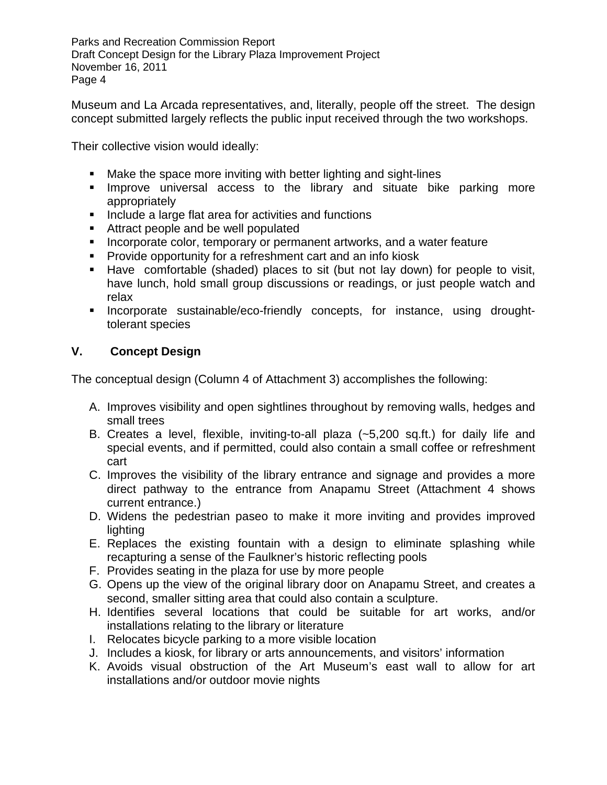Museum and La Arcada representatives, and, literally, people off the street. The design concept submitted largely reflects the public input received through the two workshops.

Their collective vision would ideally:

- **Make the space more inviting with better lighting and sight-lines**
- **Improve universal access to the library and situate bike parking more** appropriately
- **Include a large flat area for activities and functions**
- Attract people and be well populated
- **Incorporate color, temporary or permanent artworks, and a water feature**
- **Provide opportunity for a refreshment cart and an info kiosk**
- Have comfortable (shaded) places to sit (but not lay down) for people to visit, have lunch, hold small group discussions or readings, or just people watch and relax
- **Incorporate sustainable/eco-friendly concepts, for instance, using drought**tolerant species

### **V. Concept Design**

The conceptual design (Column 4 of Attachment 3) accomplishes the following:

- A. Improves visibility and open sightlines throughout by removing walls, hedges and small trees
- B. Creates a level, flexible, inviting-to-all plaza (~5,200 sq.ft.) for daily life and special events, and if permitted, could also contain a small coffee or refreshment cart
- C. Improves the visibility of the library entrance and signage and provides a more direct pathway to the entrance from Anapamu Street (Attachment 4 shows current entrance.)
- D. Widens the pedestrian paseo to make it more inviting and provides improved lighting
- E. Replaces the existing fountain with a design to eliminate splashing while recapturing a sense of the Faulkner's historic reflecting pools
- F. Provides seating in the plaza for use by more people
- G. Opens up the view of the original library door on Anapamu Street, and creates a second, smaller sitting area that could also contain a sculpture.
- H. Identifies several locations that could be suitable for art works, and/or installations relating to the library or literature
- I. Relocates bicycle parking to a more visible location
- J. Includes a kiosk, for library or arts announcements, and visitors' information
- K. Avoids visual obstruction of the Art Museum's east wall to allow for art installations and/or outdoor movie nights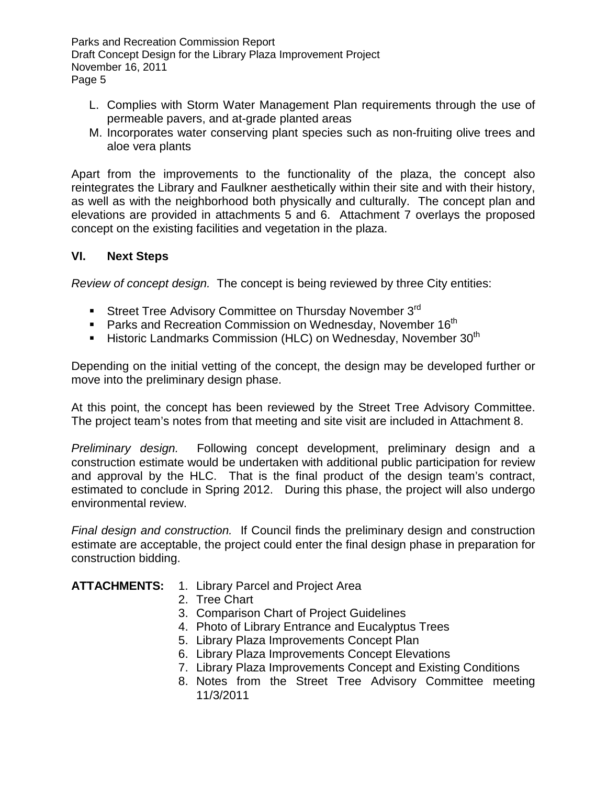- L. Complies with Storm Water Management Plan requirements through the use of permeable pavers, and at-grade planted areas
- M. Incorporates water conserving plant species such as non-fruiting olive trees and aloe vera plants

Apart from the improvements to the functionality of the plaza, the concept also reintegrates the Library and Faulkner aesthetically within their site and with their history, as well as with the neighborhood both physically and culturally. The concept plan and elevations are provided in attachments 5 and 6. Attachment 7 overlays the proposed concept on the existing facilities and vegetation in the plaza.

### **VI. Next Steps**

*Review of concept design.* The concept is being reviewed by three City entities:

- Street Tree Advisory Committee on Thursday November 3rd
- **Parks and Recreation Commission on Wednesday, November 16th**
- **Historic Landmarks Commission (HLC) on Wednesday, November 30<sup>th</sup>**

Depending on the initial vetting of the concept, the design may be developed further or move into the preliminary design phase.

At this point, the concept has been reviewed by the Street Tree Advisory Committee. The project team's notes from that meeting and site visit are included in Attachment 8.

*Preliminary design.* Following concept development, preliminary design and a construction estimate would be undertaken with additional public participation for review and approval by the HLC. That is the final product of the design team's contract, estimated to conclude in Spring 2012. During this phase, the project will also undergo environmental review.

*Final design and construction.* If Council finds the preliminary design and construction estimate are acceptable, the project could enter the final design phase in preparation for construction bidding.

#### **ATTACHMENTS:** 1. Library Parcel and Project Area

- 2. Tree Chart
- 3. Comparison Chart of Project Guidelines
- 4. Photo of Library Entrance and Eucalyptus Trees
- 5. Library Plaza Improvements Concept Plan
- 6. Library Plaza Improvements Concept Elevations
- 7. Library Plaza Improvements Concept and Existing Conditions
- 8. Notes from the Street Tree Advisory Committee meeting 11/3/2011